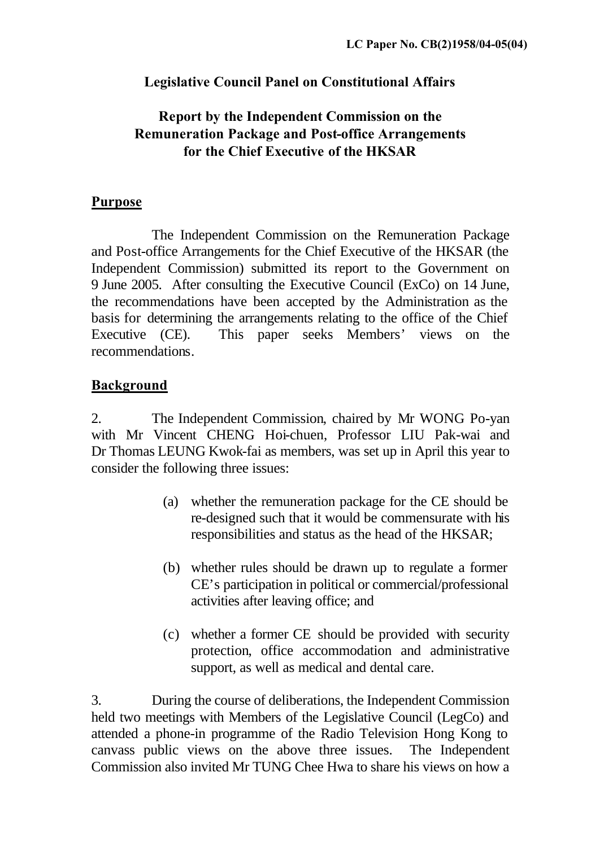## **Legislative Council Panel on Constitutional Affairs**

# **Report by the Independent Commission on the Remuneration Package and Post-office Arrangements for the Chief Executive of the HKSAR**

#### **Purpose**

The Independent Commission on the Remuneration Package and Post-office Arrangements for the Chief Executive of the HKSAR (the Independent Commission) submitted its report to the Government on 9 June 2005. After consulting the Executive Council (ExCo) on 14 June, the recommendations have been accepted by the Administration as the basis for determining the arrangements relating to the office of the Chief Executive (CE). This paper seeks Members' views on the recommendations.

## **Background**

2. The Independent Commission, chaired by Mr WONG Po-yan with Mr Vincent CHENG Hoi-chuen, Professor LIU Pak-wai and Dr Thomas LEUNG Kwok-fai as members, was set up in April this year to consider the following three issues:

- (a) whether the remuneration package for the CE should be re-designed such that it would be commensurate with his responsibilities and status as the head of the HKSAR;
- (b) whether rules should be drawn up to regulate a former CE's participation in political or commercial/professional activities after leaving office; and
- (c) whether a former CE should be provided with security protection, office accommodation and administrative support, as well as medical and dental care.

3. During the course of deliberations, the Independent Commission held two meetings with Members of the Legislative Council (LegCo) and attended a phone-in programme of the Radio Television Hong Kong to canvass public views on the above three issues. The Independent Commission also invited Mr TUNG Chee Hwa to share his views on how a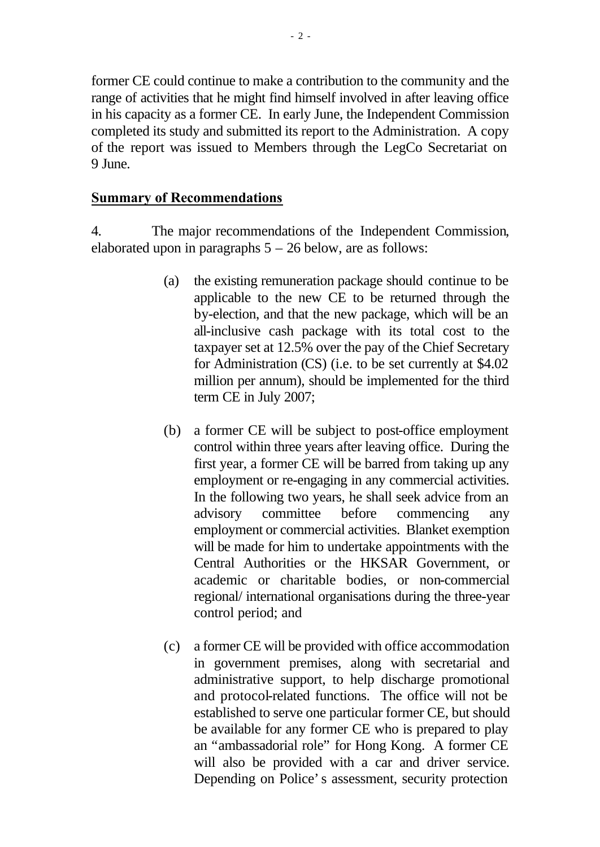former CE could continue to make a contribution to the community and the range of activities that he might find himself involved in after leaving office in his capacity as a former CE. In early June, the Independent Commission completed its study and submitted its report to the Administration. A copy of the report was issued to Members through the LegCo Secretariat on 9 June.

#### **Summary of Recommendations**

4. The major recommendations of the Independent Commission, elaborated upon in paragraphs  $5 - 26$  below, are as follows:

- (a) the existing remuneration package should continue to be applicable to the new CE to be returned through the by-election, and that the new package, which will be an all-inclusive cash package with its total cost to the taxpayer set at 12.5% over the pay of the Chief Secretary for Administration (CS) (i.e. to be set currently at \$4.02 million per annum), should be implemented for the third term CE in July 2007;
- (b) a former CE will be subject to post-office employment control within three years after leaving office. During the first year, a former CE will be barred from taking up any employment or re-engaging in any commercial activities. In the following two years, he shall seek advice from an advisory committee before commencing any employment or commercial activities. Blanket exemption will be made for him to undertake appointments with the Central Authorities or the HKSAR Government, or academic or charitable bodies, or non-commercial regional/ international organisations during the three-year control period; and
- (c) a former CE will be provided with office accommodation in government premises, along with secretarial and administrative support, to help discharge promotional and protocol-related functions. The office will not be established to serve one particular former CE, but should be available for any former CE who is prepared to play an "ambassadorial role" for Hong Kong. A former CE will also be provided with a car and driver service. Depending on Police's assessment, security protection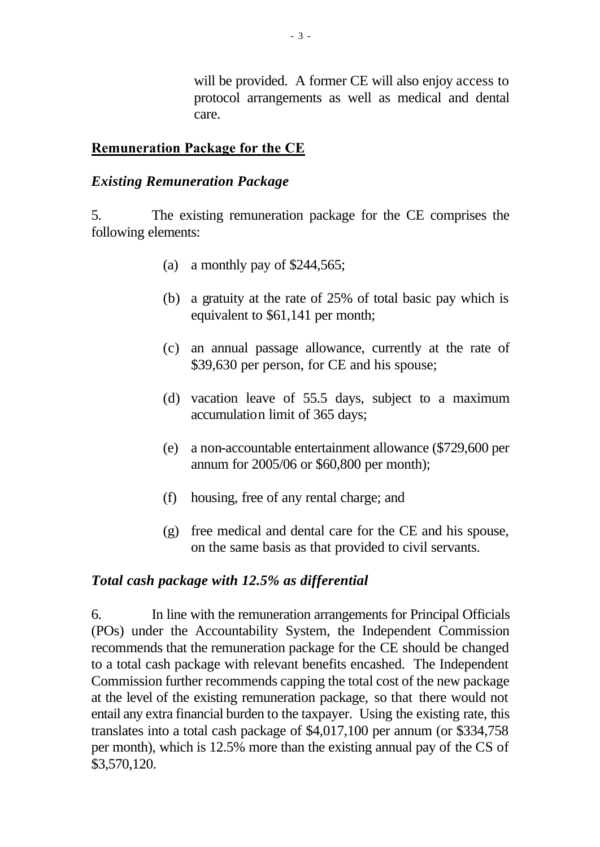will be provided. A former CE will also enjoy access to protocol arrangements as well as medical and dental care.

#### **Remuneration Package for the CE**

#### *Existing Remuneration Package*

5. The existing remuneration package for the CE comprises the following elements:

- (a) a monthly pay of \$244,565;
- (b) a gratuity at the rate of 25% of total basic pay which is equivalent to \$61,141 per month;
- (c) an annual passage allowance, currently at the rate of \$39,630 per person, for CE and his spouse;
- (d) vacation leave of 55.5 days, subject to a maximum accumulation limit of 365 days;
- (e) a non-accountable entertainment allowance (\$729,600 per annum for 2005/06 or \$60,800 per month);
- (f) housing, free of any rental charge; and
- (g) free medical and dental care for the CE and his spouse, on the same basis as that provided to civil servants.

#### *Total cash package with 12.5% as differential*

6. In line with the remuneration arrangements for Principal Officials (POs) under the Accountability System, the Independent Commission recommends that the remuneration package for the CE should be changed to a total cash package with relevant benefits encashed. The Independent Commission further recommends capping the total cost of the new package at the level of the existing remuneration package, so that there would not entail any extra financial burden to the taxpayer. Using the existing rate, this translates into a total cash package of \$4,017,100 per annum (or \$334,758 per month), which is 12.5% more than the existing annual pay of the CS of \$3,570,120.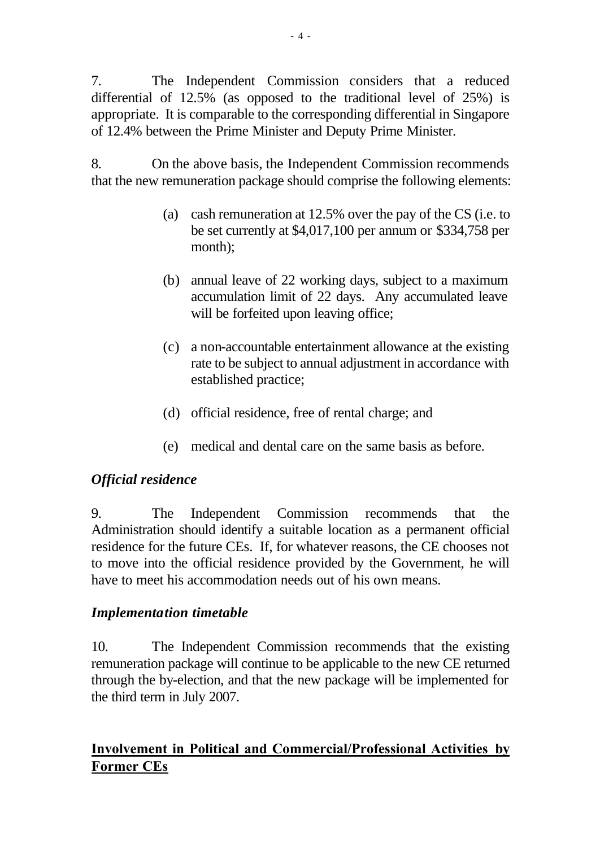7. The Independent Commission considers that a reduced differential of 12.5% (as opposed to the traditional level of 25%) is appropriate. It is comparable to the corresponding differential in Singapore of 12.4% between the Prime Minister and Deputy Prime Minister.

8. On the above basis, the Independent Commission recommends that the new remuneration package should comprise the following elements:

- (a) cash remuneration at 12.5% over the pay of the CS (i.e. to be set currently at \$4,017,100 per annum or \$334,758 per month);
- (b) annual leave of 22 working days, subject to a maximum accumulation limit of 22 days. Any accumulated leave will be forfeited upon leaving office;
- (c) a non-accountable entertainment allowance at the existing rate to be subject to annual adjustment in accordance with established practice;
- (d) official residence, free of rental charge; and
- (e) medical and dental care on the same basis as before.

## *Official residence*

9. The Independent Commission recommends that the Administration should identify a suitable location as a permanent official residence for the future CEs. If, for whatever reasons, the CE chooses not to move into the official residence provided by the Government, he will have to meet his accommodation needs out of his own means.

## *Implementation timetable*

10. The Independent Commission recommends that the existing remuneration package will continue to be applicable to the new CE returned through the by-election, and that the new package will be implemented for the third term in July 2007.

# **Involvement in Political and Commercial/Professional Activities by Former CEs**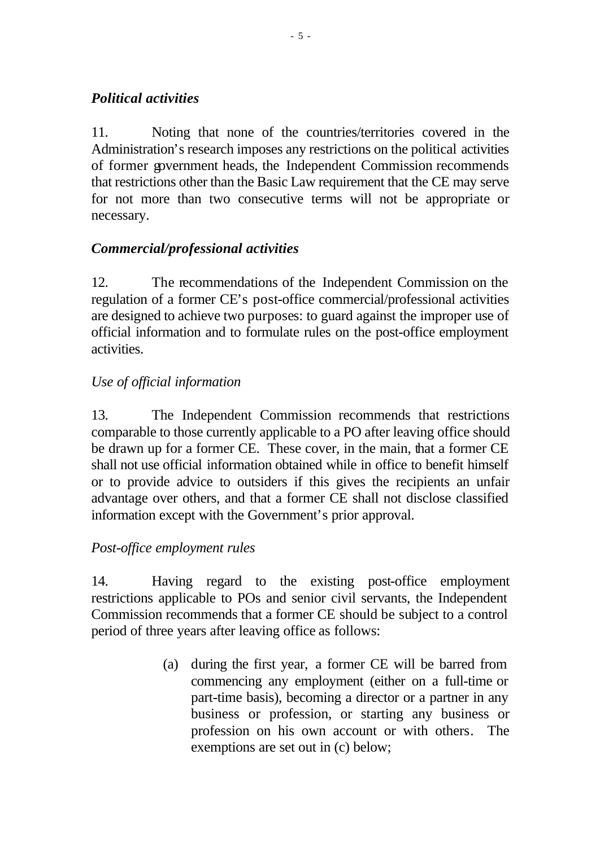## *Political activities*

11. Noting that none of the countries/territories covered in the Administration's research imposes any restrictions on the political activities of former government heads, the Independent Commission recommends that restrictions other than the Basic Law requirement that the CE may serve for not more than two consecutive terms will not be appropriate or necessary.

# *Commercial/professional activities*

12. The recommendations of the Independent Commission on the regulation of a former CE's post-office commercial/professional activities are designed to achieve two purposes: to guard against the improper use of official information and to formulate rules on the post-office employment activities.

## *Use of official information*

13. The Independent Commission recommends that restrictions comparable to those currently applicable to a PO after leaving office should be drawn up for a former CE. These cover, in the main, that a former CE shall not use official information obtained while in office to benefit himself or to provide advice to outsiders if this gives the recipients an unfair advantage over others, and that a former CE shall not disclose classified information except with the Government's prior approval.

## *Post-office employment rules*

14. Having regard to the existing post-office employment restrictions applicable to POs and senior civil servants, the Independent Commission recommends that a former CE should be subject to a control period of three years after leaving office as follows:

> (a) during the first year, a former CE will be barred from commencing any employment (either on a full-time or part-time basis), becoming a director or a partner in any business or profession, or starting any business or profession on his own account or with others. The exemptions are set out in (c) below;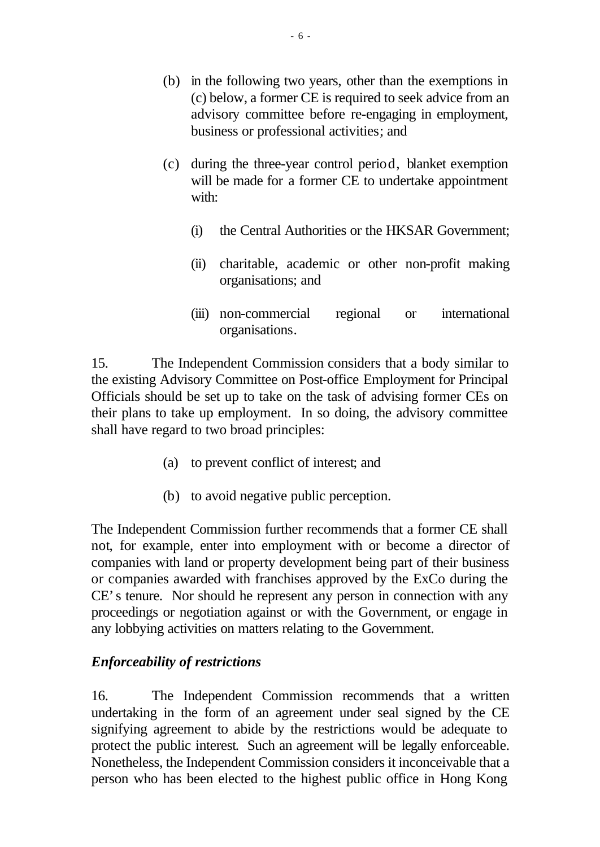- (b) in the following two years, other than the exemptions in (c) below, a former CE is required to seek advice from an advisory committee before re-engaging in employment, business or professional activities; and
- (c) during the three-year control period, blanket exemption will be made for a former CE to undertake appointment with:
	- (i) the Central Authorities or the HKSAR Government;
	- (ii) charitable, academic or other non-profit making organisations; and
	- (iii) non-commercial regional or international organisations.

15. The Independent Commission considers that a body similar to the existing Advisory Committee on Post-office Employment for Principal Officials should be set up to take on the task of advising former CEs on their plans to take up employment. In so doing, the advisory committee shall have regard to two broad principles:

- (a) to prevent conflict of interest; and
- (b) to avoid negative public perception.

The Independent Commission further recommends that a former CE shall not, for example, enter into employment with or become a director of companies with land or property development being part of their business or companies awarded with franchises approved by the ExCo during the CE's tenure. Nor should he represent any person in connection with any proceedings or negotiation against or with the Government, or engage in any lobbying activities on matters relating to the Government.

## *Enforceability of restrictions*

16. The Independent Commission recommends that a written undertaking in the form of an agreement under seal signed by the CE signifying agreement to abide by the restrictions would be adequate to protect the public interest. Such an agreement will be legally enforceable. Nonetheless, the Independent Commission considers it inconceivable that a person who has been elected to the highest public office in Hong Kong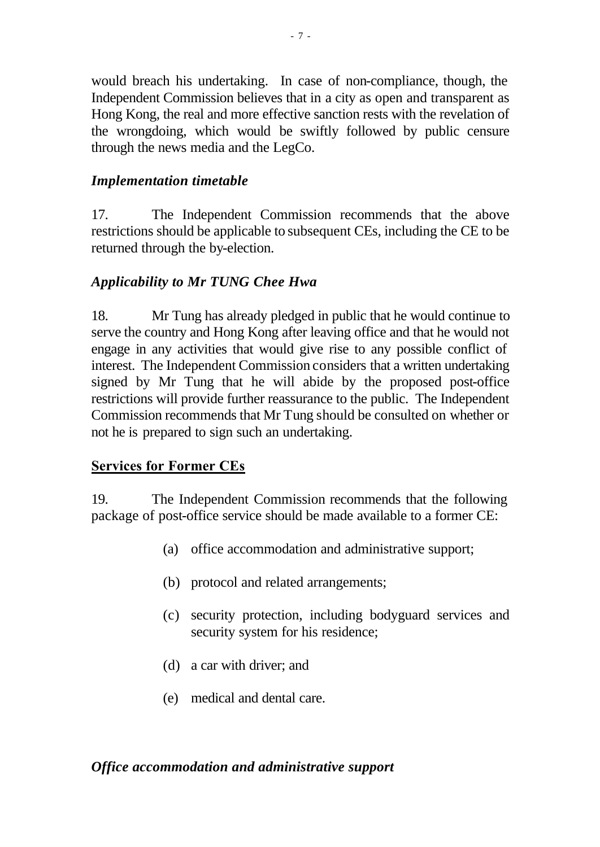would breach his undertaking. In case of non-compliance, though, the Independent Commission believes that in a city as open and transparent as Hong Kong, the real and more effective sanction rests with the revelation of the wrongdoing, which would be swiftly followed by public censure through the news media and the LegCo.

#### *Implementation timetable*

17. The Independent Commission recommends that the above restrictions should be applicable to subsequent CEs, including the CE to be returned through the by-election.

## *Applicability to Mr TUNG Chee Hwa*

18. Mr Tung has already pledged in public that he would continue to serve the country and Hong Kong after leaving office and that he would not engage in any activities that would give rise to any possible conflict of interest. The Independent Commission considers that a written undertaking signed by Mr Tung that he will abide by the proposed post-office restrictions will provide further reassurance to the public. The Independent Commission recommends that Mr Tung should be consulted on whether or not he is prepared to sign such an undertaking.

## **Services for Former CEs**

19. The Independent Commission recommends that the following package of post-office service should be made available to a former CE:

- (a) office accommodation and administrative support;
- (b) protocol and related arrangements;
- (c) security protection, including bodyguard services and security system for his residence;
- (d) a car with driver; and
- (e) medical and dental care.

#### *Office accommodation and administrative support*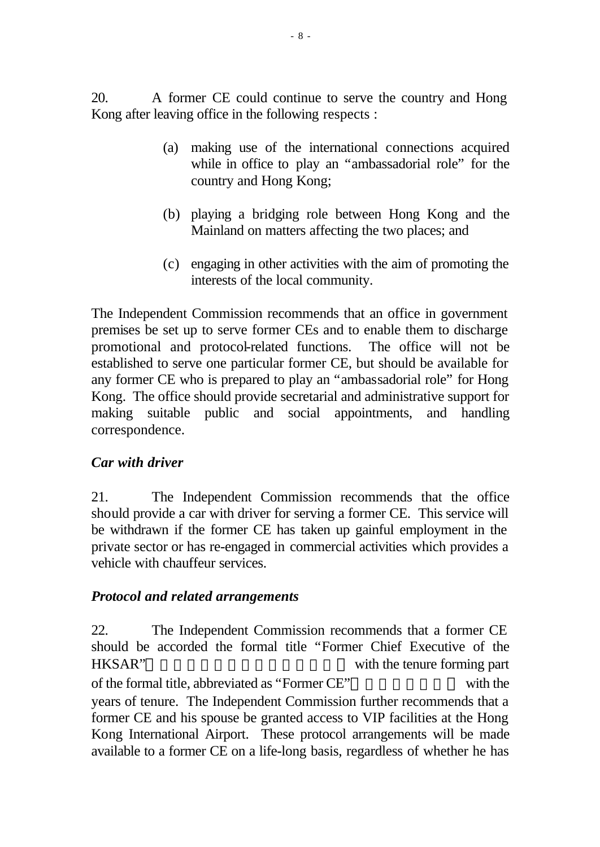20. A former CE could continue to serve the country and Hong Kong after leaving office in the following respects :

- (a) making use of the international connections acquired while in office to play an "ambassadorial role" for the country and Hong Kong;
- (b) playing a bridging role between Hong Kong and the Mainland on matters affecting the two places; and
- (c) engaging in other activities with the aim of promoting the interests of the local community.

The Independent Commission recommends that an office in government premises be set up to serve former CEs and to enable them to discharge promotional and protocol-related functions. The office will not be established to serve one particular former CE, but should be available for any former CE who is prepared to play an "ambassadorial role" for Hong Kong. The office should provide secretarial and administrative support for making suitable public and social appointments, and handling correspondence.

## *Car with driver*

21. The Independent Commission recommends that the office should provide a car with driver for serving a former CE. This service will be withdrawn if the former CE has taken up gainful employment in the private sector or has re-engaged in commercial activities which provides a vehicle with chauffeur services.

## *Protocol and related arrangements*

22. The Independent Commission recommends that a former CE should be accorded the formal title "Former Chief Executive of the HKSAR" with the tenure forming part of the formal title, abbreviated as "Former CE" with the years of tenure. The Independent Commission further recommends that a former CE and his spouse be granted access to VIP facilities at the Hong Kong International Airport. These protocol arrangements will be made available to a former CE on a life-long basis, regardless of whether he has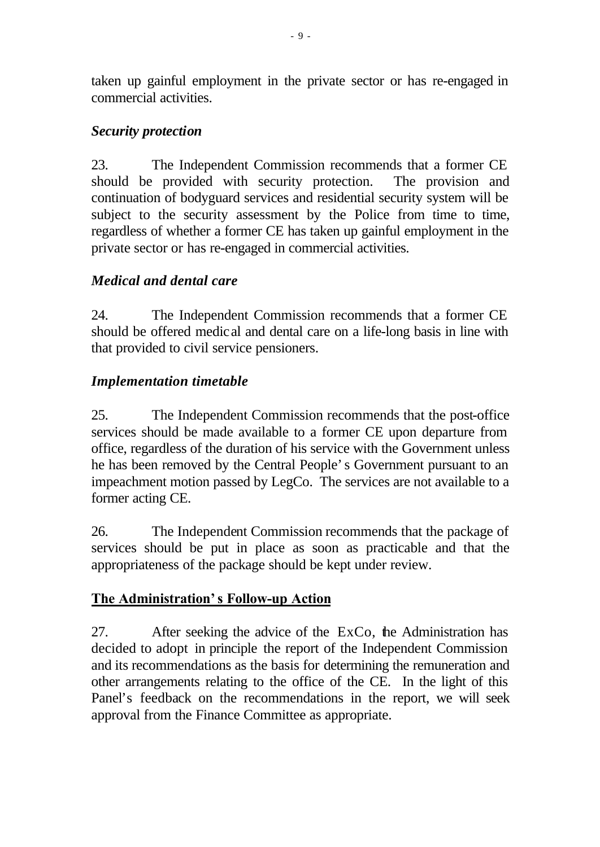taken up gainful employment in the private sector or has re-engaged in commercial activities.

## *Security protection*

23. The Independent Commission recommends that a former CE should be provided with security protection. The provision and continuation of bodyguard services and residential security system will be subject to the security assessment by the Police from time to time, regardless of whether a former CE has taken up gainful employment in the private sector or has re-engaged in commercial activities.

# *Medical and dental care*

24. The Independent Commission recommends that a former CE should be offered medical and dental care on a life-long basis in line with that provided to civil service pensioners.

# *Implementation timetable*

25. The Independent Commission recommends that the post-office services should be made available to a former CE upon departure from office, regardless of the duration of his service with the Government unless he has been removed by the Central People's Government pursuant to an impeachment motion passed by LegCo. The services are not available to a former acting CE.

26. The Independent Commission recommends that the package of services should be put in place as soon as practicable and that the appropriateness of the package should be kept under review.

# **The Administration's Follow-up Action**

27. After seeking the advice of the ExCo, the Administration has decided to adopt in principle the report of the Independent Commission and its recommendations as the basis for determining the remuneration and other arrangements relating to the office of the CE. In the light of this Panel's feedback on the recommendations in the report, we will seek approval from the Finance Committee as appropriate.